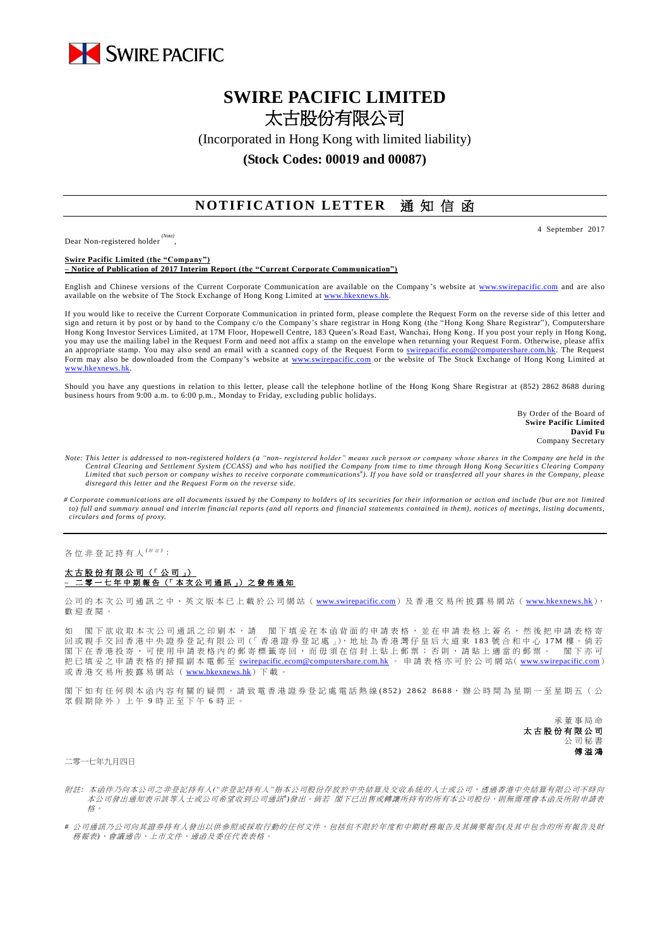

## **SWIRE PACIFIC LIMITED** 太古股份有限公司

(Incorporated in Hong Kong with limited liability)

**(Stock Codes: 00019 and 00087)**

## **NOTIFICATION LETTER** 通知信函

Dear Non-registered holder *(Note)* , 4 September 2017

**Swire Pacific Limited (the "Company") – Notice of Publication of 2017 Interim Report (the "Current Corporate Communication")**

English and Chinese versions of the Current Corporate Communication are available on the Company's website at [www.swirepacific.com](http://www.swirepacific.com/) and are also available on the website of The Stock Exchange of Hong Kong Limited at [www.hkexnews.hk.](http://www.hkexnews.hk/)

If you would like to receive the Current Corporate Communication in printed form, please complete the Request Form on the reverse side of this letter and sign and return it by post or by hand to the Company c/o the Company's share registrar in Hong Kong (the "Hong Kong Share Registrar"), Computershare Hong Kong Investor Services Limited, at 17M Floor, Hopewell Centre, 183 Queen's Road East, Wanchai, Hong Kong. If you post your reply in Hong Kong, you may use the mailing label in the Request Form and need not affix a stamp on the envelope when returning your Request Form. Otherwise, please affix an appropriate stamp. You may also send an email with a scanned copy of the Request Form to [swirepacific.ecom@computershare.com.hk.](mailto:swirepacific.ecom@computershare.com.hk) The Request Form may also be downloaded from the Company's website at [www.swirepacific.com](http://www.swirepacific.com/) or the website of The Stock Exchange of Hong Kong Limited at [www.hkexnews.hk.](http://www.hkexnews.hk/)

Should you have any questions in relation to this letter, please call the telephone hotline of the Hong Kong Share Registrar at (852) 2862 8688 during business hours from 9:00 a.m. to 6:00 p.m., Monday to Friday, excluding public holidays.

> By Order of the Board of **Swire Pacific Limited David Fu** Company Secretary

- *Note: This letter is addressed to non-registered holders (a "non- registered holder" means such person or company whose shares in the Company are held in the Central Clearing and Settlement System (CCASS) and who has notified the Company from time to time through Hong Kong Securitie s Clearing Company*  Limited that such person or company wishes to receive corporate communications<sup>#</sup>). If you have sold or transferred all your shares in the Company, please *disregard this letter and the Request Form on the reverse side.*
- *# Corporate communications are all documents issued by the Company to holders of its securities for their information or action and include (but are not limited to) full and summary annual and interim financial reports (and all reports and financial statements contained in them), notices of meetings, listing documents, circulars and forms of proxy.*

各位非登記持有人<sup>( / 注)</sup>:

太古股份有限公司 (「 公 司 」) **–** 二零一 七 年 中期報告 (「 本 次 公 司 通 訊 」) 之 發 佈 通 知

公司的本次公司通訊之中、英文版本已上載於公司網站 ([www.swirepacific.com](http://www.swirepacific.com/)) 及香港交易所披露易網站 ([www.hkexnews.hk](http://www.hkexnews.hk/)), 歡 迎 查閱。

閣下欲收取本次公司通訊之印刷本,請 閣下填妥在本函背面的申請表格,並在申請表格上簽名,然後把申請表格寄 回或親手交回香港中央證券登記有限公司 (「香港證券登記處 」), 地址為香港灣仔皇后大道東 183 號合和中心 17M 樓。倘若 閣 下 在 香 港 投 寄 , 可 使 用 申 請 表 格 內 的 郵 寄 標 籤 寄 回 , 而 毋 須 在 信 封 上 貼 上 郵 票 ; 否 則 , 請 貼 上 適 當 的 郵 票 。 閣 下 亦 可 把已填妥之申請表格的掃描副本電郵至 [swirepacific.ecom@computershare.com.hk](mailto:swirepacific.ecom@computershare.com.hk) 。 申請表格亦可於公司網站( [www.swirepacific.com](http://www.swirepacific.com/)) 或香港交易所披露易網站 ( [www.hkexnews.hk](http://www.hkexnews.hk/)) 下載。

閣下如有任何與本函內容有關的疑問,請致電香港證券登記處電話熱線(852) 2862 8688,辦公時間為星期一至星期五(公 眾假期除外)上午 9 時正至下午 6 時正。

> 承董事 局 命 太古股份有限公司 公司秘書 傅溢鴻

二零一七年九月四日

- 附註*:* 本函件乃向本公司之非登記持有人*("*非登記持有人*"*指本公司股份存放於中央結算及交收系統的人士或公司,透過香港中央結算有限公司不時向 本公司發出通知表示該等人士或公司希望收到公司通訊<sup>+</sup>)發出。 倘若 閣下已出售或轉讓所持有的所有本公司股份,則無需理會本函及所附申請表 格。
- *#* 公司通訊乃公司向其證券持有人發出以供參照或採取行動的任何文件,包括但不限於年度和中期財務報告及其摘要報告*(*及其中包含的所有報告及財 務報表*)*、會議通告、上市文件、通函及委任代表表格。